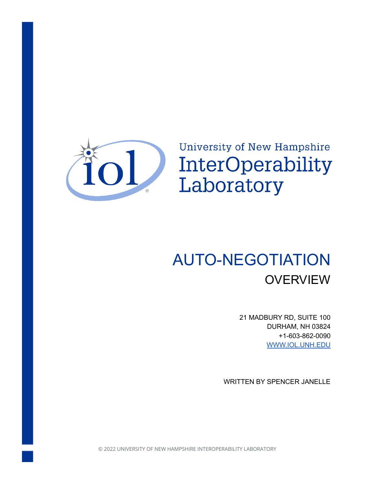

University of New Hampshire InterOperability Laboratory

# AUTO-NEGOTIATION **OVERVIEW**

21 MADBURY RD, SUITE 100 DURHAM, NH 03824 +1-603-862-0090 [WWW.IOL.UNH.EDU](https://www.iol.unh.edu/)

WRITTEN BY SPENCER JANELLE

© 2022 UNIVERSITY OF NEW HAMPSHIRE INTEROPERABILITY LABORATORY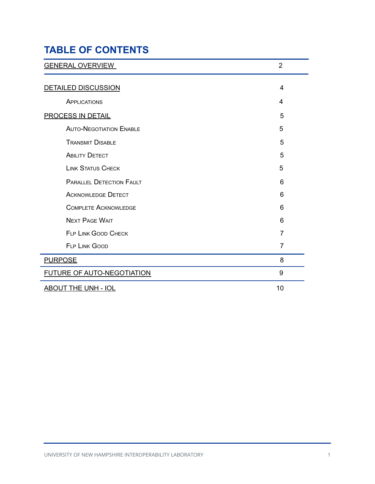## **TABLE OF CONTENTS**

| <b>GENERAL OVERVIEW</b>           | $\overline{2}$ |
|-----------------------------------|----------------|
| <b>DETAILED DISCUSSION</b>        | 4              |
| APPLICATIONS                      | 4              |
| <b>PROCESS IN DETAIL</b>          | 5              |
| <b>AUTO-NEGOTIATION ENABLE</b>    | 5              |
| <b>TRANSMIT DISABLE</b>           | 5              |
| <b>ABILITY DETECT</b>             | 5              |
| <b>LINK STATUS CHECK</b>          | 5              |
| <b>PARALLEL DETECTION FAULT</b>   | 6              |
| <b>ACKNOWLEDGE DETECT</b>         | 6              |
| <b>COMPLETE ACKNOWLEDGE</b>       | 6              |
| <b>NEXT PAGE WAIT</b>             | 6              |
| <b>FLP LINK GOOD CHECK</b>        | $\overline{7}$ |
| <b>FLP LINK GOOD</b>              | $\overline{7}$ |
| <b>PURPOSE</b>                    | 8              |
| <b>FUTURE OF AUTO-NEGOTIATION</b> | 9              |
| <b>ABOUT THE UNH - IOL</b>        | 10             |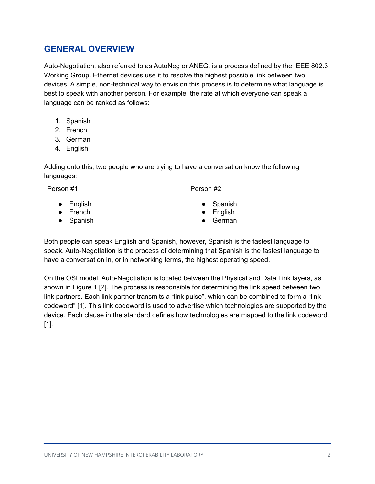## <span id="page-2-0"></span>**GENERAL OVERVIEW**

Auto-Negotiation, also referred to as AutoNeg or ANEG, is a process defined by the IEEE 802.3 Working Group. Ethernet devices use it to resolve the highest possible link between two devices. A simple, non-technical way to envision this process is to determine what language is best to speak with another person. For example, the rate at which everyone can speak a language can be ranked as follows:

- 1. Spanish
- 2. French
- 3. German
- 4. English

Adding onto this, two people who are trying to have a conversation know the following languages:

Person #1 Person #2

- English
- French
- Spanish
- **Spanish**
- **English**
- **German**

Both people can speak English and Spanish, however, Spanish is the fastest language to speak. Auto-Negotiation is the process of determining that Spanish is the fastest language to have a conversation in, or in networking terms, the highest operating speed.

On the OSI model, Auto-Negotiation is located between the Physical and Data Link layers, as shown in Figure 1 [2]. The process is responsible for determining the link speed between two link partners. Each link partner transmits a "link pulse", which can be combined to form a "link codeword" [1]. This link codeword is used to advertise which technologies are supported by the device. Each clause in the standard defines how technologies are mapped to the link codeword. [1].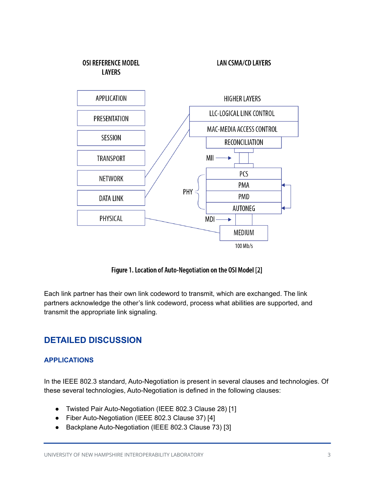

Figure 1. Location of Auto-Negotiation on the OSI Model [2]

Each link partner has their own link codeword to transmit, which are exchanged. The link partners acknowledge the other's link codeword, process what abilities are supported, and transmit the appropriate link signaling.

## <span id="page-3-0"></span>**DETAILED DISCUSSION**

#### <span id="page-3-1"></span>**APPLICATIONS**

In the IEEE 802.3 standard, Auto-Negotiation is present in several clauses and technologies. Of these several technologies, Auto-Negotiation is defined in the following clauses:

- Twisted Pair Auto-Negotiation (IEEE 802.3 Clause 28) [1]
- Fiber Auto-Negotiation (IEEE 802.3 Clause 37) [4]
- Backplane Auto-Negotiation (IEEE 802.3 Clause 73) [3]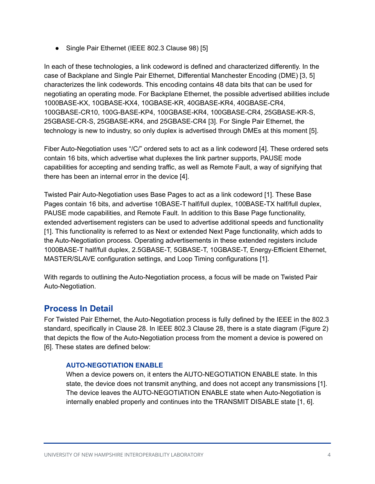• Single Pair Ethernet (IEEE 802.3 Clause 98) [5]

In each of these technologies, a link codeword is defined and characterized differently. In the case of Backplane and Single Pair Ethernet, Differential Manchester Encoding (DME) [3, 5] characterizes the link codewords. This encoding contains 48 data bits that can be used for negotiating an operating mode. For Backplane Ethernet, the possible advertised abilities include 1000BASE-KX, 10GBASE-KX4, 10GBASE-KR, 40GBASE-KR4, 40GBASE-CR4, 100GBASE-CR10, 100G-BASE-KP4, 100GBASE-KR4, 100GBASE-CR4, 25GBASE-KR-S, 25GBASE-CR-S, 25GBASE-KR4, and 25GBASE-CR4 [3]. For Single Pair Ethernet, the technology is new to industry, so only duplex is advertised through DMEs at this moment [5].

Fiber Auto-Negotiation uses "/C/" ordered sets to act as a link codeword [4]. These ordered sets contain 16 bits, which advertise what duplexes the link partner supports, PAUSE mode capabilities for accepting and sending traffic, as well as Remote Fault, a way of signifying that there has been an internal error in the device [4].

Twisted Pair Auto-Negotiation uses Base Pages to act as a link codeword [1]. These Base Pages contain 16 bits, and advertise 10BASE-T half/full duplex, 100BASE-TX half/full duplex, PAUSE mode capabilities, and Remote Fault. In addition to this Base Page functionality, extended advertisement registers can be used to advertise additional speeds and functionality [1]. This functionality is referred to as Next or extended Next Page functionality, which adds to the Auto-Negotiation process. Operating advertisements in these extended registers include 1000BASE-T half/full duplex, 2.5GBASE-T, 5GBASE-T, 10GBASE-T, Energy-Efficient Ethernet, MASTER/SLAVE configuration settings, and Loop Timing configurations [1].

With regards to outlining the Auto-Negotiation process, a focus will be made on Twisted Pair Auto-Negotiation.

## <span id="page-4-0"></span>**Process In Detail**

For Twisted Pair Ethernet, the Auto-Negotiation process is fully defined by the IEEE in the 802.3 standard, specifically in Clause 28. In IEEE 802.3 Clause 28, there is a state diagram (Figure 2) that depicts the flow of the Auto-Negotiation process from the moment a device is powered on [6]. These states are defined below:

#### <span id="page-4-1"></span>**AUTO-NEGOTIATION ENABLE**

When a device powers on, it enters the AUTO-NEGOTIATION ENABLE state. In this state, the device does not transmit anything, and does not accept any transmissions [1]. The device leaves the AUTO-NEGOTIATION ENABLE state when Auto-Negotiation is internally enabled properly and continues into the TRANSMIT DISABLE state [1, 6].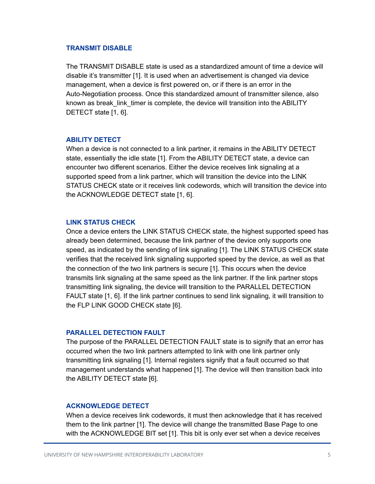#### <span id="page-5-0"></span>**TRANSMIT DISABLE**

The TRANSMIT DISABLE state is used as a standardized amount of time a device will disable it's transmitter [1]. It is used when an advertisement is changed via device management, when a device is first powered on, or if there is an error in the Auto-Negotiation process. Once this standardized amount of transmitter silence, also known as break\_link\_timer is complete, the device will transition into the ABILITY DETECT state [1, 6].

#### <span id="page-5-1"></span>**ABILITY DETECT**

When a device is not connected to a link partner, it remains in the ABILITY DETECT state, essentially the idle state [1]. From the ABILITY DETECT state, a device can encounter two different scenarios. Either the device receives link signaling at a supported speed from a link partner, which will transition the device into the LINK STATUS CHECK state or it receives link codewords, which will transition the device into the ACKNOWLEDGE DETECT state [1, 6].

#### <span id="page-5-2"></span>**LINK STATUS CHECK**

Once a device enters the LINK STATUS CHECK state, the highest supported speed has already been determined, because the link partner of the device only supports one speed, as indicated by the sending of link signaling [1]. The LINK STATUS CHECK state verifies that the received link signaling supported speed by the device, as well as that the connection of the two link partners is secure [1]. This occurs when the device transmits link signaling at the same speed as the link partner. If the link partner stops transmitting link signaling, the device will transition to the PARALLEL DETECTION FAULT state [1, 6]. If the link partner continues to send link signaling, it will transition to the FLP LINK GOOD CHECK state [6].

#### <span id="page-5-3"></span>**PARALLEL DETECTION FAULT**

The purpose of the PARALLEL DETECTION FAULT state is to signify that an error has occurred when the two link partners attempted to link with one link partner only transmitting link signaling [1]. Internal registers signify that a fault occurred so that management understands what happened [1]. The device will then transition back into the ABILITY DETECT state [6].

#### <span id="page-5-4"></span>**ACKNOWLEDGE DETECT**

When a device receives link codewords, it must then acknowledge that it has received them to the link partner [1]. The device will change the transmitted Base Page to one with the ACKNOWLEDGE BIT set [1]. This bit is only ever set when a device receives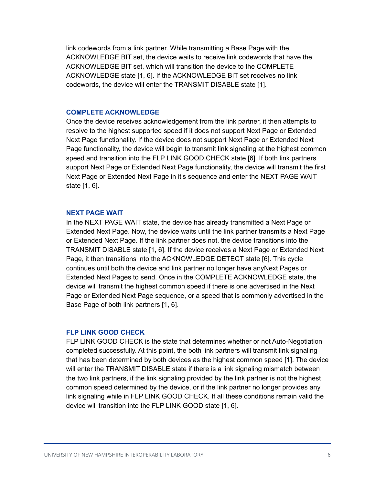link codewords from a link partner. While transmitting a Base Page with the ACKNOWLEDGE BIT set, the device waits to receive link codewords that have the ACKNOWLEDGE BIT set, which will transition the device to the COMPLETE ACKNOWLEDGE state [1, 6]. If the ACKNOWLEDGE BIT set receives no link codewords, the device will enter the TRANSMIT DISABLE state [1].

#### <span id="page-6-0"></span>**COMPLETE ACKNOWLEDGE**

Once the device receives acknowledgement from the link partner, it then attempts to resolve to the highest supported speed if it does not support Next Page or Extended Next Page functionality. If the device does not support Next Page or Extended Next Page functionality, the device will begin to transmit link signaling at the highest common speed and transition into the FLP LINK GOOD CHECK state [6]. If both link partners support Next Page or Extended Next Page functionality, the device will transmit the first Next Page or Extended Next Page in it's sequence and enter the NEXT PAGE WAIT state [1, 6].

#### <span id="page-6-1"></span>**NEXT PAGE WAIT**

In the NEXT PAGE WAIT state, the device has already transmitted a Next Page or Extended Next Page. Now, the device waits until the link partner transmits a Next Page or Extended Next Page. If the link partner does not, the device transitions into the TRANSMIT DISABLE state [1, 6]. If the device receives a Next Page or Extended Next Page, it then transitions into the ACKNOWLEDGE DETECT state [6]. This cycle continues until both the device and link partner no longer have anyNext Pages or Extended Next Pages to send. Once in the COMPLETE ACKNOWLEDGE state, the device will transmit the highest common speed if there is one advertised in the Next Page or Extended Next Page sequence, or a speed that is commonly advertised in the Base Page of both link partners [1, 6].

#### <span id="page-6-2"></span>**FLP LINK GOOD CHECK**

FLP LINK GOOD CHECK is the state that determines whether or not Auto-Negotiation completed successfully. At this point, the both link partners will transmit link signaling that has been determined by both devices as the highest common speed [1]. The device will enter the TRANSMIT DISABLE state if there is a link signaling mismatch between the two link partners, if the link signaling provided by the link partner is not the highest common speed determined by the device, or if the link partner no longer provides any link signaling while in FLP LINK GOOD CHECK. If all these conditions remain valid the device will transition into the FLP LINK GOOD state [1, 6].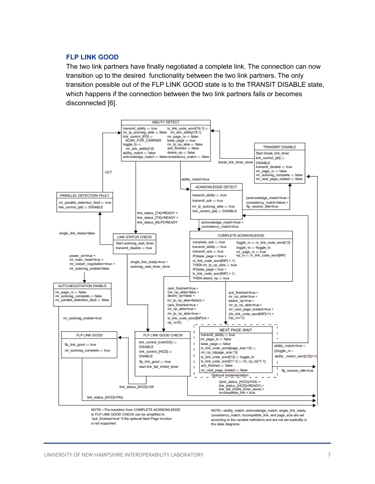#### <span id="page-7-0"></span>**FLP LINK GOOD**

The two link partners have finally negotiated a complete link. The connection can now transition up to the desired functionality between the two link partners. The only transition possible out of the FLP LINK GOOD state is to the TRANSIT DISABLE state, which happens if the connection between the two link partners fails or becomes disconnected [6].



according to the variable definitions and are not set explicitly in the state diagrams.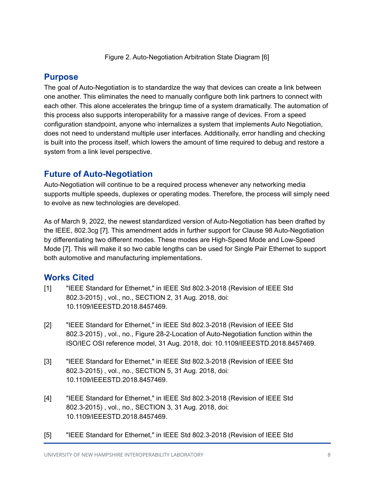Figure 2. Auto-Negotiation Arbitration State Diagram [6]

## <span id="page-8-0"></span>**Purpose**

The goal of Auto-Negotiation is to standardize the way that devices can create a link between one another. This eliminates the need to manually configure both link partners to connect with each other. This alone accelerates the bringup time of a system dramatically. The automation of this process also supports interoperability for a massive range of devices. From a speed configuration standpoint, anyone who internalizes a system that implements Auto Negotiation, does not need to understand multiple user interfaces. Additionally, error handling and checking is built into the process itself, which lowers the amount of time required to debug and restore a system from a link level perspective.

## <span id="page-8-1"></span>**Future of Auto-Negotiation**

Auto-Negotiation will continue to be a required process whenever any networking media supports multiple speeds, duplexes or operating modes. Therefore, the process will simply need to evolve as new technologies are developed.

As of March 9, 2022, the newest standardized version of Auto-Negotiation has been drafted by the IEEE, 802.3cg [7]. This amendment adds in further support for Clause 98 Auto-Negotiation by differentiating two different modes. These modes are High-Speed Mode and Low-Speed Mode [7]. This will make it so two cable lengths can be used for Single Pair Ethernet to support both automotive and manufacturing implementations.

## **Works Cited**

- [1] "IEEE Standard for Ethernet," in IEEE Std 802.3-2018 (Revision of IEEE Std 802.3-2015) , vol., no., SECTION 2, 31 Aug. 2018, doi: 10.1109/IEEESTD.2018.8457469.
- [2] "IEEE Standard for Ethernet," in IEEE Std 802.3-2018 (Revision of IEEE Std 802.3-2015) , vol., no., Figure 28-2-Location of Auto-Negotiation function within the ISO/IEC OSI reference model, 31 Aug. 2018, doi: 10.1109/IEEESTD.2018.8457469.
- [3] "IEEE Standard for Ethernet," in IEEE Std 802.3-2018 (Revision of IEEE Std 802.3-2015) , vol., no., SECTION 5, 31 Aug. 2018, doi: 10.1109/IEEESTD.2018.8457469.
- [4] "IEEE Standard for Ethernet," in IEEE Std 802.3-2018 (Revision of IEEE Std 802.3-2015) , vol., no., SECTION 3, 31 Aug. 2018, doi: 10.1109/IEEESTD.2018.8457469.
- [5] "IEEE Standard for Ethernet," in IEEE Std 802.3-2018 (Revision of IEEE Std